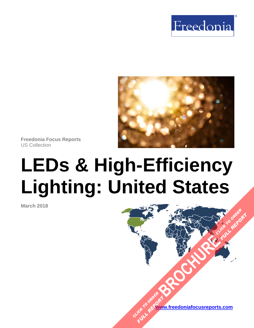



**Freedonia Focus Reports**  US Collection

# **LEDs & High-Efficiency Lighting: United States**

**March 2018** 

**www.freedoniafocusreports.com** CLICK TO ORDER **FULL REPORT** 

**[BROCHURE](https://www.freedoniafocusreports.com/LEDs-High-Efficiency-Lighting-United-States-FF60071/?progid=89541) CLICK TO ORDER** 

**FULL REPORT**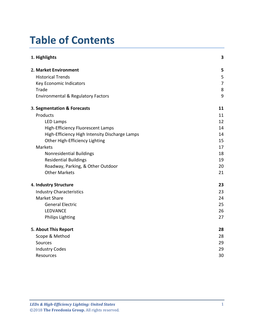# **Table of Contents**

| 1. Highlights                                  | 3              |
|------------------------------------------------|----------------|
| 2. Market Environment                          | 5              |
| <b>Historical Trends</b>                       | 5              |
| Key Economic Indicators                        | $\overline{7}$ |
| Trade                                          | 8              |
| <b>Environmental &amp; Regulatory Factors</b>  | 9              |
| 3. Segmentation & Forecasts                    | 11             |
| Products                                       | 11             |
| <b>LED Lamps</b>                               | 12             |
| High-Efficiency Fluorescent Lamps              | 14             |
| High-Efficiency High Intensity Discharge Lamps | 14             |
| Other High-Efficiency Lighting                 | 15             |
| Markets                                        | 17             |
| <b>Nonresidential Buildings</b>                | 18             |
| <b>Residential Buildings</b>                   | 19             |
| Roadway, Parking, & Other Outdoor              | 20             |
| <b>Other Markets</b>                           | 21             |
| 4. Industry Structure                          | 23             |
| <b>Industry Characteristics</b>                | 23             |
| <b>Market Share</b>                            | 24             |
| <b>General Electric</b>                        | 25             |
| LEDVANCE                                       | 26             |
| <b>Philips Lighting</b>                        | 27             |
| 5. About This Report                           | 28             |
| Scope & Method                                 | 28             |
| Sources                                        | 29             |
| <b>Industry Codes</b>                          | 29             |
| Resources                                      | 30             |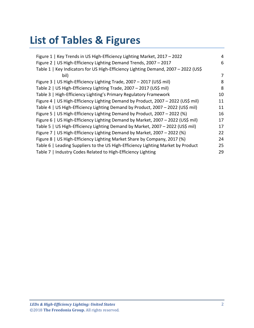# **List of Tables & Figures**

| Figure 1   Key Trends in US High-Efficiency Lighting Market, 2017 - 2022           | 4  |
|------------------------------------------------------------------------------------|----|
| Figure 2   US High-Efficiency Lighting Demand Trends, 2007 - 2017                  | 6  |
| Table 1   Key Indicators for US High-Efficiency Lighting Demand, 2007 - 2022 (US\$ |    |
| bil)                                                                               | 7  |
| Figure 3   US High-Efficiency Lighting Trade, 2007 - 2017 (US\$ mil)               | 8  |
| Table 2   US High-Efficiency Lighting Trade, 2007 - 2017 (US\$ mil)                | 8  |
| Table 3   High-Efficiency Lighting's Primary Regulatory Framework                  | 10 |
| Figure 4   US High-Efficiency Lighting Demand by Product, 2007 - 2022 (US\$ mil)   | 11 |
| Table 4   US High-Efficiency Lighting Demand by Product, 2007 - 2022 (US\$ mil)    | 11 |
| Figure 5   US High-Efficiency Lighting Demand by Product, 2007 - 2022 (%)          | 16 |
| Figure 6   US High-Efficiency Lighting Demand by Market, 2007 - 2022 (US\$ mil)    | 17 |
| Table 5   US High-Efficiency Lighting Demand by Market, 2007 - 2022 (US\$ mil)     | 17 |
| Figure 7   US High-Efficiency Lighting Demand by Market, 2007 - 2022 (%)           | 22 |
| Figure 8   US High-Efficiency Lighting Market Share by Company, 2017 (%)           | 24 |
| Table 6   Leading Suppliers to the US High-Efficiency Lighting Market by Product   | 25 |
| Table 7   Industry Codes Related to High-Efficiency Lighting                       | 29 |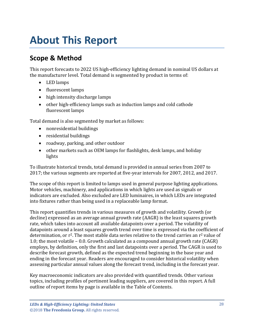# <span id="page-3-0"></span>**About This Report**

## <span id="page-3-1"></span>**Scope & Method**

This report forecasts to 2022 US high-efficiency lighting demand in nominal US dollars at the manufacturer level. Total demand is segmented by product in terms of:

- LED lamps
- fluorescent lamps
- high intensity discharge lamps
- other high-efficiency lamps such as induction lamps and cold cathode fluorescent lamps

Total demand is also segmented by market as follows:

- nonresidential buildings
- residential buildings
- roadway, parking, and other outdoor
- other markets such as OEM lamps for flashlights, desk lamps, and holiday lights

To illustrate historical trends, total demand is provided in annual series from 2007 to 2017; the various segments are reported at five-year intervals for 2007, 2012, and 2017.

The scope of this report is limited to lamps used in general purpose lighting applications. Motor vehicles, machinery, and applications in which lights are used as signals or indicators are excluded. Also excluded are LED luminaires, in which LEDs are integrated into fixtures rather than being used in a replaceable lamp format.

This report quantifies trends in various measures of growth and volatility. Growth (or decline) expressed as an average annual growth rate (AAGR) is the least squares growth rate, which takes into account all available datapoints over a period. The volatility of datapoints around a least squares growth trend over time is expressed via the coefficient of determination, or  $r^2$ . The most stable data series relative to the trend carries an  $r^2$  value of 1.0; the most volatile – 0.0. Growth calculated as a compound annual growth rate (CAGR) employs, by definition, only the first and last datapoints over a period. The CAGR is used to describe forecast growth, defined as the expected trend beginning in the base year and ending in the forecast year. Readers are encouraged to consider historical volatility when assessing particular annual values along the forecast trend, including in the forecast year.

Key macroeconomic indicators are also provided with quantified trends. Other various topics, including profiles of pertinent leading suppliers, are covered in this report. A full outline of report items by page is available in the Table of Contents.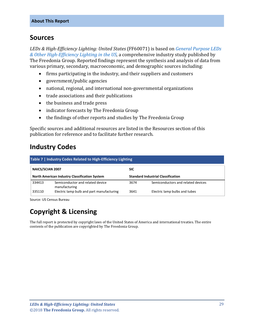## <span id="page-4-0"></span>**Sources**

*LEDs & High-Efficiency Lighting: United States* (FF60071) is based on *[General Purpose LEDs](http://www.freedoniagroup.com/DocumentDetails.aspx?ReferrerId=FL-FOCUS&studyid=3611)  [& Other High-Efficiency Lighting in the US,](http://www.freedoniagroup.com/DocumentDetails.aspx?ReferrerId=FL-FOCUS&studyid=3611)* a comprehensive industry study published by The Freedonia Group. Reported findings represent the synthesis and analysis of data from various primary, secondary, macroeconomic, and demographic sources including:

- firms participating in the industry, and their suppliers and customers
- government/public agencies
- national, regional, and international non-governmental organizations
- trade associations and their publications
- the business and trade press
- indicator forecasts by The Freedonia Group
- the findings of other reports and studies by The Freedonia Group

Specific sources and additional resources are listed in the Resources section of this publication for reference and to facilitate further research.

## <span id="page-4-1"></span>**Industry Codes**

<span id="page-4-2"></span>

| Table 7   Industry Codes Related to High-Efficiency Lighting |                                                                                                   |            |                                    |  |
|--------------------------------------------------------------|---------------------------------------------------------------------------------------------------|------------|------------------------------------|--|
| NAICS/SCIAN 2007                                             |                                                                                                   | <b>SIC</b> |                                    |  |
|                                                              | <b>North American Industry Classification System</b><br><b>Standard Industrial Classification</b> |            |                                    |  |
| 334413                                                       | Semiconductor and related device<br>manufacturing                                                 | 3674       | Semiconductors and related devices |  |
| 335110                                                       | Electric lamp bulb and part manufacturing                                                         | 3641       | Electric lamp bulbs and tubes      |  |

Source: US Census Bureau

# **Copyright & Licensing**

The full report is protected by copyright laws of the United States of America and international treaties. The entire contents of the publication are copyrighted by The Freedonia Group.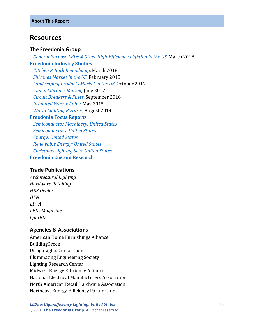### <span id="page-5-0"></span>**Resources**

#### **The Freedonia Group**

 *[General Purpose LEDs & Other High-Efficiency Lighting in the US,](http://www.freedoniagroup.com/DocumentDetails.aspx?ReferrerId=FL-FOCUS&studyid=3611)* March 2018 **[Freedonia Industry](http://www.freedoniagroup.com/Home.aspx?ReferrerId=FL-Focus) Studies**  *[Kitchen & Bath Remodeling,](http://www.freedoniagroup.com/DocumentDetails.aspx?ReferrerId=FL-FOCUS&studyid=3604)* March 2018  *[Silicones Market in the US,](http://www.freedoniagroup.com/DocumentDetails.aspx?ReferrerId=FL-FOCUS&studyid=3608)* February 2018  *[Landscaping Products Market in the US,](http://www.freedoniagroup.com/DocumentDetails.aspx?ReferrerId=FL-FOCUS&studyid=3565)* October 2017  *[Global Silicones Market,](http://www.freedoniagroup.com/DocumentDetails.aspx?ReferrerId=FL-FOCUS&studyid=3531)* June 2017  *[Circuit Breakers & Fuses,](http://www.freedoniagroup.com/DocumentDetails.aspx?ReferrerId=FL-FOCUS&studyid=3471)* September 2016  *[Insulated Wire & Cable,](http://www.freedoniagroup.com/DocumentDetails.aspx?ReferrerId=FL-FOCUS&studyid=3260)* May 2015  *[World Lighting Fixtures,](http://www.freedoniagroup.com/DocumentDetails.aspx?ReferrerId=FL-FOCUS&studyid=3192)* August 2014 **[Freedonia Focus Reports](https://www.freedoniafocusreports.com/redirect.asp?progid=89534&url=/)**  *[Semiconductor Machinery: United States](https://www.freedoniafocusreports.com/Semiconductor-Machinery-United-States-FF75028/) [Semiconductors: United States](https://www.freedoniafocusreports.com/Semiconductors-United-States-FF80023/) [Energy: United States](https://www.freedoniafocusreports.com/Energy-United-States-FF45043/) [Renewable Energy: United States](https://www.freedoniafocusreports.com/Renewable-Energy-United-States-FF45041/) [Christmas Lighting Sets: United States](https://www.freedoniafocusreports.com/Christmas-Lighting-Sets-United-States-FF90048/)* **[Freedonia Custom Research](http://www.freedoniagroup.com/CustomResearch.aspx?ReferrerId=FL-Focus)**

#### **Trade Publications**

*Architectural Lighting Hardware Retailing HBS Dealer HFN LD+A LEDs Magazine lightED*

#### **Agencies & Associations**

American Home Furnishings Alliance BuildingGreen DesignLights Consortium Illuminating Engineering Society Lighting Research Center Midwest Energy Efficiency Alliance National Electrical Manufacturers Association North American Retail Hardware Association Northeast Energy Efficiency Partnerships